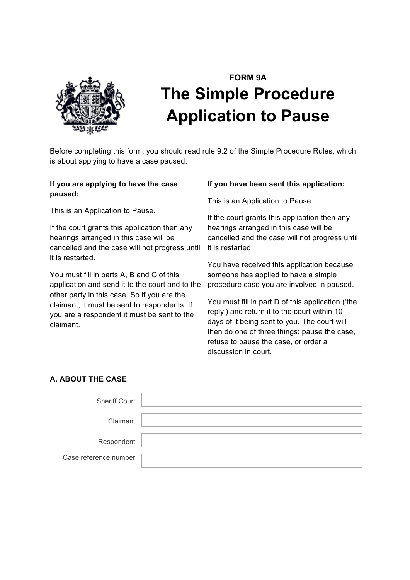

# **FORM 9A The Simple Procedure Application to Pause**

Before completing this form, you should read rule 9.2 of the Simple Procedure Rules, which is about applying to have a case paused.

# **If you are applying to have the case paused:**

This is an Application to Pause.

If the court grants this application then any hearings arranged in this case will be cancelled and the case will not progress until it is restarted.

You must fill in parts A, B and C of this application and send it to the court and to the other party in this case. So if you are the claimant, it must be sent to respondents. If you are a respondent it must be sent to the claimant.

## **If you have been sent this application:**

This is an Application to Pause.

If the court grants this application then any hearings arranged in this case will be cancelled and the case will not progress until it is restarted.

You have received this application because someone has applied to have a simple procedure case you are involved in paused.

You must fill in part D of this application ('the reply') and return it to the court within 10 days of it being sent to you. The court will then do one of three things: pause the case, refuse to pause the case, or order a discussion in court.

# **A. ABOUT THE CASE**

| <b>Sheriff Court</b>  |  |
|-----------------------|--|
| Claimant              |  |
| Respondent            |  |
| Case reference number |  |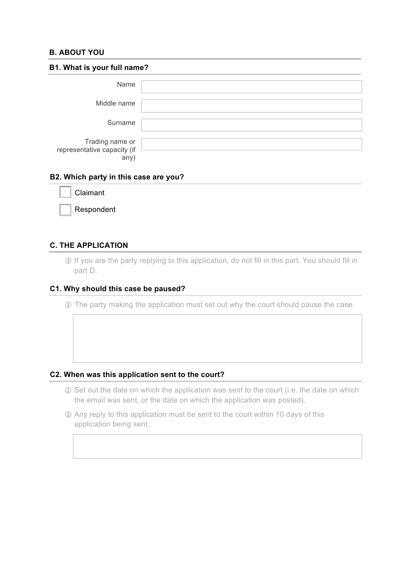## **B. ABOUT YOU**

| B1. What is your full name?                            |  |  |  |
|--------------------------------------------------------|--|--|--|
| Name                                                   |  |  |  |
| Middle name                                            |  |  |  |
| Surname                                                |  |  |  |
| Trading name or<br>representative capacity (if<br>any' |  |  |  |

#### **B2. Which party in this case are you?**

| Claimant |  |
|----------|--|
|          |  |

Respondent

## **C. THE APPLICATION**

! If you are the party replying to this application, do not fill in this part. You should fill in part D.

#### **C1. Why should this case be paused?**

! The party making the application must set out why the court should pause the case.

#### **C2. When was this application sent to the court?**

- ! Set out the date on which the application was sent to the court (i.e. the date on which the email was sent, or the date on which the application was posted).
- ! Any reply to this application must be sent to the court within 10 days of this application being sent.